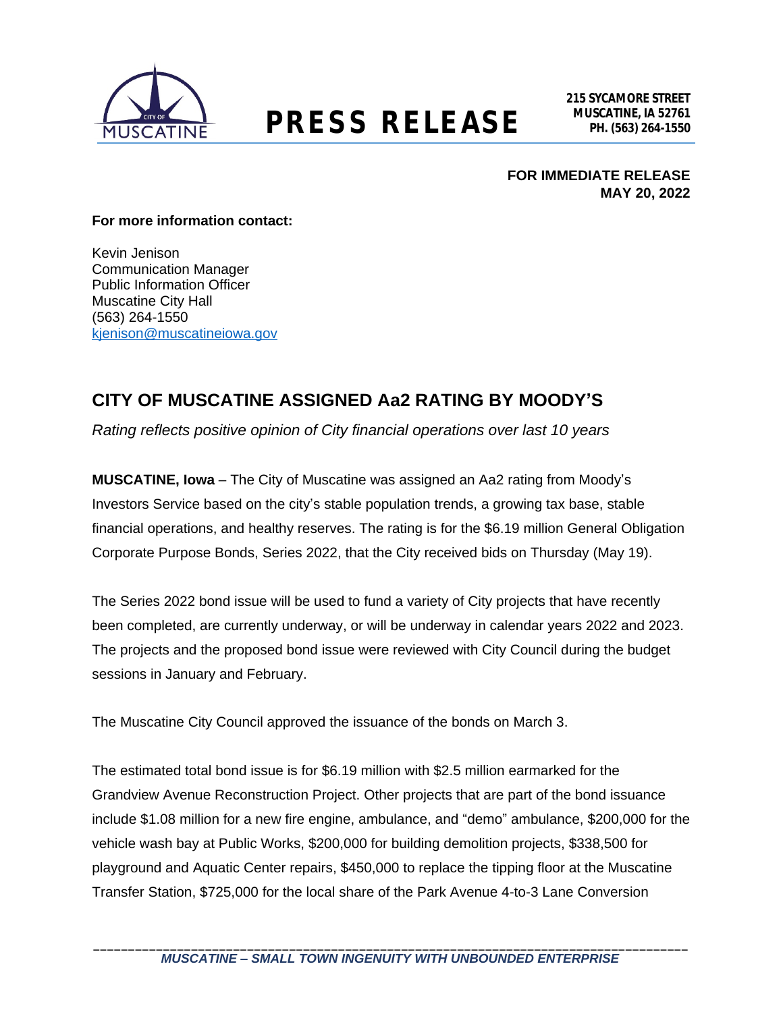

### **MUSCATINE, IA 52761 PRESS RELEASE PH. (563) 264-1550**

**FOR IMMEDIATE RELEASE MAY 20, 2022**

#### **For more information contact:**

Kevin Jenison Communication Manager Public Information Officer Muscatine City Hall (563) 264-1550 kienison@muscatineiowa.gov

### **CITY OF MUSCATINE ASSIGNED Aa2 RATING BY MOODY'S**

*Rating reflects positive opinion of City financial operations over last 10 years*

**MUSCATINE, Iowa** – The City of Muscatine was assigned an Aa2 rating from Moody's Investors Service based on the city's stable population trends, a growing tax base, stable financial operations, and healthy reserves. The rating is for the \$6.19 million General Obligation Corporate Purpose Bonds, Series 2022, that the City received bids on Thursday (May 19).

The Series 2022 bond issue will be used to fund a variety of City projects that have recently been completed, are currently underway, or will be underway in calendar years 2022 and 2023. The projects and the proposed bond issue were reviewed with City Council during the budget sessions in January and February.

The Muscatine City Council approved the issuance of the bonds on March 3.

The estimated total bond issue is for \$6.19 million with \$2.5 million earmarked for the Grandview Avenue Reconstruction Project. Other projects that are part of the bond issuance include \$1.08 million for a new fire engine, ambulance, and "demo" ambulance, \$200,000 for the vehicle wash bay at Public Works, \$200,000 for building demolition projects, \$338,500 for playground and Aquatic Center repairs, \$450,000 to replace the tipping floor at the Muscatine Transfer Station, \$725,000 for the local share of the Park Avenue 4-to-3 Lane Conversion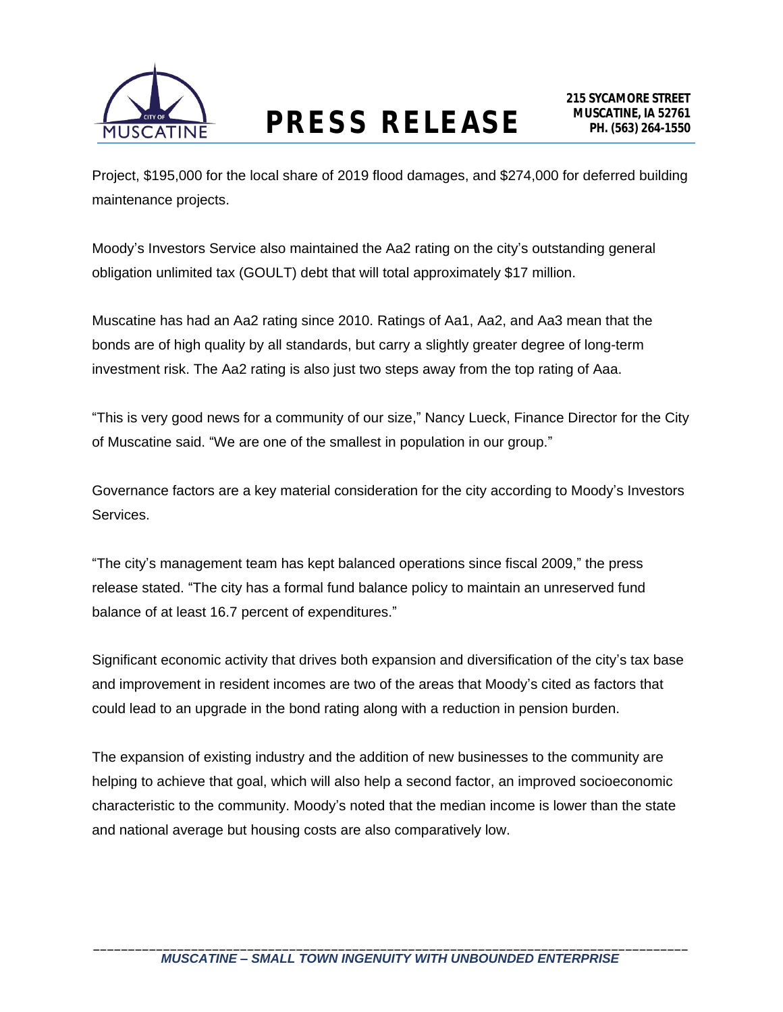

## **MUSCATINE, IA 52761 PRESS RELEASE PH. (563) 264-1550**

Project, \$195,000 for the local share of 2019 flood damages, and \$274,000 for deferred building maintenance projects.

Moody's Investors Service also maintained the Aa2 rating on the city's outstanding general obligation unlimited tax (GOULT) debt that will total approximately \$17 million.

Muscatine has had an Aa2 rating since 2010. Ratings of Aa1, Aa2, and Aa3 mean that the bonds are of high quality by all standards, but carry a slightly greater degree of long-term investment risk. The Aa2 rating is also just two steps away from the top rating of Aaa.

"This is very good news for a community of our size," Nancy Lueck, Finance Director for the City of Muscatine said. "We are one of the smallest in population in our group."

Governance factors are a key material consideration for the city according to Moody's Investors Services.

"The city's management team has kept balanced operations since fiscal 2009," the press release stated. "The city has a formal fund balance policy to maintain an unreserved fund balance of at least 16.7 percent of expenditures."

Significant economic activity that drives both expansion and diversification of the city's tax base and improvement in resident incomes are two of the areas that Moody's cited as factors that could lead to an upgrade in the bond rating along with a reduction in pension burden.

The expansion of existing industry and the addition of new businesses to the community are helping to achieve that goal, which will also help a second factor, an improved socioeconomic characteristic to the community. Moody's noted that the median income is lower than the state and national average but housing costs are also comparatively low.